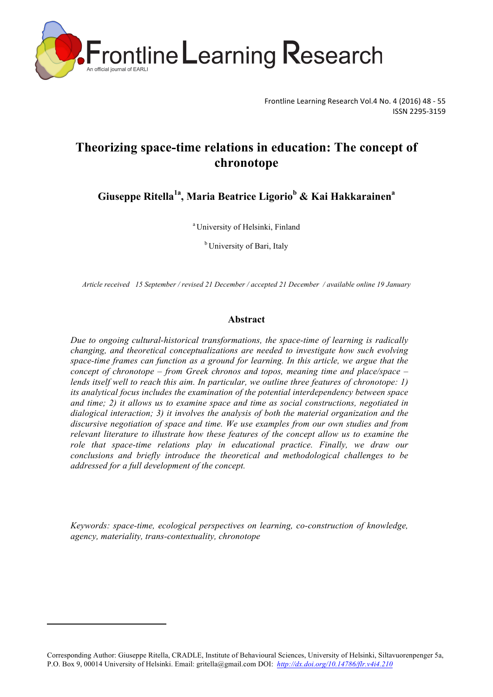

Frontline Learning Research Vol.4 No. 4 (2016) 48 - 55 ISSN 2295-3159 

# **Theorizing space-time relations in education: The concept of chronotope**

**Giuseppe Ritella1a , Maria Beatrice Ligorio<sup>b</sup> & Kai Hakkarainen<sup>a</sup>**

<sup>a</sup> University of Helsinki, Finland

<sup>b</sup> University of Bari, Italy

*Article received 15 September / revised 21 December / accepted 21 December / available online 19 January*

### **Abstract**

*Due to ongoing cultural-historical transformations, the space-time of learning is radically changing, and theoretical conceptualizations are needed to investigate how such evolving space-time frames can function as a ground for learning. In this article, we argue that the concept of chronotope – from Greek chronos and topos, meaning time and place/space – lends itself well to reach this aim. In particular, we outline three features of chronotope: 1) its analytical focus includes the examination of the potential interdependency between space and time; 2) it allows us to examine space and time as social constructions, negotiated in dialogical interaction; 3) it involves the analysis of both the material organization and the discursive negotiation of space and time. We use examples from our own studies and from relevant literature to illustrate how these features of the concept allow us to examine the*  role that space-time relations play in educational practice. Finally, we draw our *conclusions and briefly introduce the theoretical and methodological challenges to be addressed for a full development of the concept.*

*Keywords: space-time, ecological perspectives on learning, co-construction of knowledge, agency, materiality, trans-contextuality, chronotope*

<u> 1989 - Jan Samuel Barbara, margaret e</u>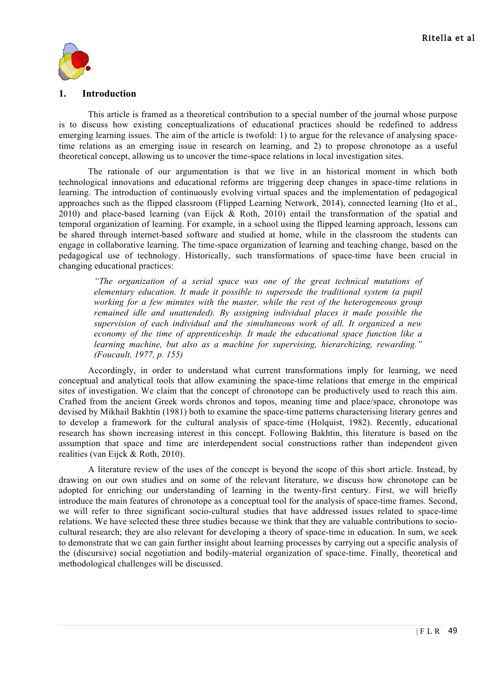

## **1. Introduction**

This article is framed as a theoretical contribution to a special number of the journal whose purpose is to discuss how existing conceptualizations of educational practices should be redefined to address emerging learning issues. The aim of the article is twofold: 1) to argue for the relevance of analysing spacetime relations as an emerging issue in research on learning, and 2) to propose chronotope as a useful theoretical concept, allowing us to uncover the time-space relations in local investigation sites.

The rationale of our argumentation is that we live in an historical moment in which both technological innovations and educational reforms are triggering deep changes in space-time relations in learning. The introduction of continuously evolving virtual spaces and the implementation of pedagogical approaches such as the flipped classroom (Flipped Learning Network, 2014), connected learning (Ito et al., 2010) and place-based learning (van Eijck & Roth, 2010) entail the transformation of the spatial and temporal organization of learning. For example, in a school using the flipped learning approach, lessons can be shared through internet-based software and studied at home, while in the classroom the students can engage in collaborative learning. The time-space organization of learning and teaching change, based on the pedagogical use of technology. Historically, such transformations of space-time have been crucial in changing educational practices:

*"The organization of a serial space was one of the great technical mutations of elementary education. It made it possible to supersede the traditional system (a pupil working for a few minutes with the master, while the rest of the heterogeneous group remained idle and unattended). By assigning individual places it made possible the supervision of each individual and the simultaneous work of all. It organized a new economy of the time of apprenticeship. It made the educational space function like a learning machine, but also as a machine for supervising, hierarchizing, rewarding." (Foucault, 1977, p. 155)*

Accordingly, in order to understand what current transformations imply for learning, we need conceptual and analytical tools that allow examining the space-time relations that emerge in the empirical sites of investigation. We claim that the concept of chronotope can be productively used to reach this aim. Crafted from the ancient Greek words chronos and topos, meaning time and place/space, chronotope was devised by Mikhail Bakhtin (1981) both to examine the space-time patterns characterising literary genres and to develop a framework for the cultural analysis of space-time (Holquist, 1982). Recently, educational research has shown increasing interest in this concept. Following Bakhtin, this literature is based on the assumption that space and time are interdependent social constructions rather than independent given realities (van Eijck & Roth, 2010).

A literature review of the uses of the concept is beyond the scope of this short article. Instead, by drawing on our own studies and on some of the relevant literature, we discuss how chronotope can be adopted for enriching our understanding of learning in the twenty-first century. First, we will briefly introduce the main features of chronotope as a conceptual tool for the analysis of space-time frames. Second, we will refer to three significant socio-cultural studies that have addressed issues related to space-time relations. We have selected these three studies because we think that they are valuable contributions to sociocultural research; they are also relevant for developing a theory of space-time in education. In sum, we seek to demonstrate that we can gain further insight about learning processes by carrying out a specific analysis of the (discursive) social negotiation and bodily-material organization of space-time. Finally, theoretical and methodological challenges will be discussed.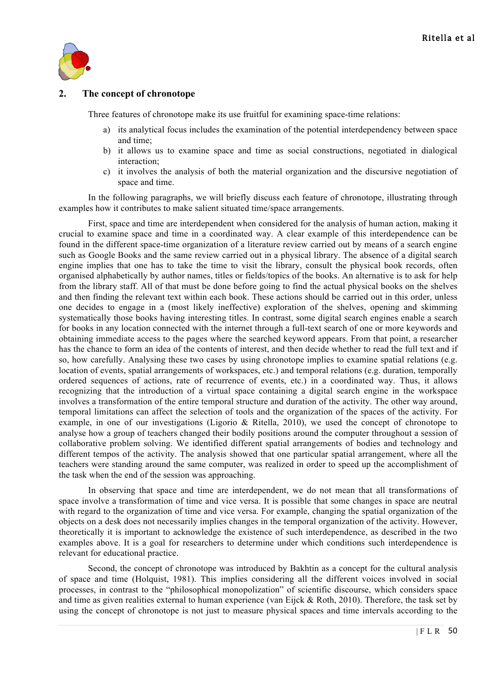

## **2. The concept of chronotope**

Three features of chronotope make its use fruitful for examining space-time relations:

- a) its analytical focus includes the examination of the potential interdependency between space and time;
- b) it allows us to examine space and time as social constructions, negotiated in dialogical interaction;
- c) it involves the analysis of both the material organization and the discursive negotiation of space and time.

In the following paragraphs, we will briefly discuss each feature of chronotope, illustrating through examples how it contributes to make salient situated time/space arrangements.

First, space and time are interdependent when considered for the analysis of human action, making it crucial to examine space and time in a coordinated way. A clear example of this interdependence can be found in the different space-time organization of a literature review carried out by means of a search engine such as Google Books and the same review carried out in a physical library. The absence of a digital search engine implies that one has to take the time to visit the library, consult the physical book records, often organised alphabetically by author names, titles or fields/topics of the books. An alternative is to ask for help from the library staff. All of that must be done before going to find the actual physical books on the shelves and then finding the relevant text within each book. These actions should be carried out in this order, unless one decides to engage in a (most likely ineffective) exploration of the shelves, opening and skimming systematically those books having interesting titles. In contrast, some digital search engines enable a search for books in any location connected with the internet through a full-text search of one or more keywords and obtaining immediate access to the pages where the searched keyword appears. From that point, a researcher has the chance to form an idea of the contents of interest, and then decide whether to read the full text and if so, how carefully. Analysing these two cases by using chronotope implies to examine spatial relations (e.g. location of events, spatial arrangements of workspaces, etc.) and temporal relations (e.g. duration, temporally ordered sequences of actions, rate of recurrence of events, etc.) in a coordinated way. Thus, it allows recognizing that the introduction of a virtual space containing a digital search engine in the workspace involves a transformation of the entire temporal structure and duration of the activity. The other way around, temporal limitations can affect the selection of tools and the organization of the spaces of the activity. For example, in one of our investigations (Ligorio & Ritella, 2010), we used the concept of chronotope to analyse how a group of teachers changed their bodily positions around the computer throughout a session of collaborative problem solving. We identified different spatial arrangements of bodies and technology and different tempos of the activity. The analysis showed that one particular spatial arrangement, where all the teachers were standing around the same computer, was realized in order to speed up the accomplishment of the task when the end of the session was approaching.

In observing that space and time are interdependent, we do not mean that all transformations of space involve a transformation of time and vice versa. It is possible that some changes in space are neutral with regard to the organization of time and vice versa. For example, changing the spatial organization of the objects on a desk does not necessarily implies changes in the temporal organization of the activity. However, theoretically it is important to acknowledge the existence of such interdependence, as described in the two examples above. It is a goal for researchers to determine under which conditions such interdependence is relevant for educational practice.

Second, the concept of chronotope was introduced by Bakhtin as a concept for the cultural analysis of space and time (Holquist, 1981). This implies considering all the different voices involved in social processes, in contrast to the "philosophical monopolization" of scientific discourse, which considers space and time as given realities external to human experience (van Eijck & Roth, 2010). Therefore, the task set by using the concept of chronotope is not just to measure physical spaces and time intervals according to the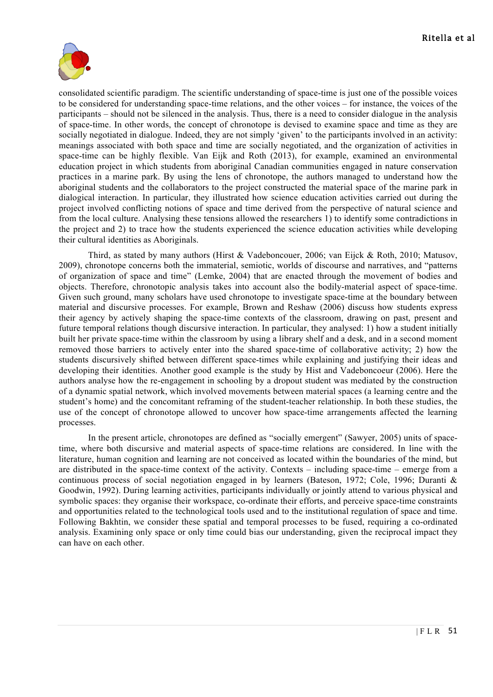

consolidated scientific paradigm. The scientific understanding of space-time is just one of the possible voices to be considered for understanding space-time relations, and the other voices – for instance, the voices of the participants – should not be silenced in the analysis. Thus, there is a need to consider dialogue in the analysis of space-time. In other words, the concept of chronotope is devised to examine space and time as they are socially negotiated in dialogue. Indeed, they are not simply 'given' to the participants involved in an activity: meanings associated with both space and time are socially negotiated, and the organization of activities in space-time can be highly flexible. Van Eijk and Roth (2013), for example, examined an environmental education project in which students from aboriginal Canadian communities engaged in nature conservation practices in a marine park. By using the lens of chronotope, the authors managed to understand how the aboriginal students and the collaborators to the project constructed the material space of the marine park in dialogical interaction. In particular, they illustrated how science education activities carried out during the project involved conflicting notions of space and time derived from the perspective of natural science and from the local culture. Analysing these tensions allowed the researchers 1) to identify some contradictions in the project and 2) to trace how the students experienced the science education activities while developing their cultural identities as Aboriginals.

Third, as stated by many authors (Hirst & Vadeboncouer, 2006; van Eijck & Roth, 2010; Matusov, 2009), chronotope concerns both the immaterial, semiotic, worlds of discourse and narratives, and "patterns of organization of space and time" (Lemke, 2004) that are enacted through the movement of bodies and objects. Therefore, chronotopic analysis takes into account also the bodily-material aspect of space-time. Given such ground, many scholars have used chronotope to investigate space-time at the boundary between material and discursive processes. For example, Brown and Reshaw (2006) discuss how students express their agency by actively shaping the space-time contexts of the classroom, drawing on past, present and future temporal relations though discursive interaction. In particular, they analysed: 1) how a student initially built her private space-time within the classroom by using a library shelf and a desk, and in a second moment removed those barriers to actively enter into the shared space-time of collaborative activity; 2) how the students discursively shifted between different space-times while explaining and justifying their ideas and developing their identities. Another good example is the study by Hist and Vadeboncoeur (2006). Here the authors analyse how the re-engagement in schooling by a dropout student was mediated by the construction of a dynamic spatial network, which involved movements between material spaces (a learning centre and the student's home) and the concomitant reframing of the student-teacher relationship. In both these studies, the use of the concept of chronotope allowed to uncover how space-time arrangements affected the learning processes.

In the present article, chronotopes are defined as "socially emergent" (Sawyer, 2005) units of spacetime, where both discursive and material aspects of space-time relations are considered. In line with the literature, human cognition and learning are not conceived as located within the boundaries of the mind, but are distributed in the space-time context of the activity. Contexts – including space-time – emerge from a continuous process of social negotiation engaged in by learners (Bateson, 1972; Cole, 1996; Duranti & Goodwin, 1992). During learning activities, participants individually or jointly attend to various physical and symbolic spaces: they organise their workspace, co-ordinate their efforts, and perceive space-time constraints and opportunities related to the technological tools used and to the institutional regulation of space and time. Following Bakhtin, we consider these spatial and temporal processes to be fused, requiring a co-ordinated analysis. Examining only space or only time could bias our understanding, given the reciprocal impact they can have on each other.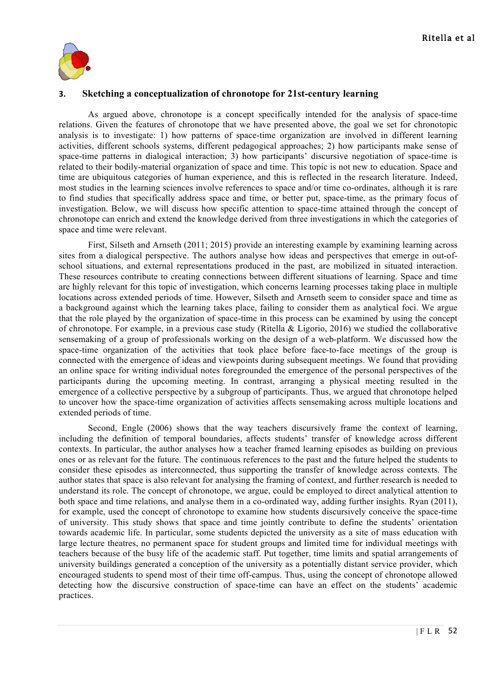

## **3. Sketching a conceptualization of chronotope for 21st-century learning**

As argued above, chronotope is a concept specifically intended for the analysis of space-time relations. Given the features of chronotope that we have presented above, the goal we set for chronotopic analysis is to investigate: 1) how patterns of space-time organization are involved in different learning activities, different schools systems, different pedagogical approaches; 2) how participants make sense of space-time patterns in dialogical interaction; 3) how participants' discursive negotiation of space-time is related to their bodily-material organization of space and time. This topic is not new to education. Space and time are ubiquitous categories of human experience, and this is reflected in the research literature. Indeed, most studies in the learning sciences involve references to space and/or time co-ordinates, although it is rare to find studies that specifically address space and time, or better put, space-time, as the primary focus of investigation. Below, we will discuss how specific attention to space-time attained through the concept of chronotope can enrich and extend the knowledge derived from three investigations in which the categories of space and time were relevant.

First, Silseth and Arnseth (2011; 2015) provide an interesting example by examining learning across sites from a dialogical perspective. The authors analyse how ideas and perspectives that emerge in out-ofschool situations, and external representations produced in the past, are mobilized in situated interaction. These resources contribute to creating connections between different situations of learning. Space and time are highly relevant for this topic of investigation, which concerns learning processes taking place in multiple locations across extended periods of time. However, Silseth and Arnseth seem to consider space and time as a background against which the learning takes place, failing to consider them as analytical foci. We argue that the role played by the organization of space-time in this process can be examined by using the concept of chronotope. For example, in a previous case study (Ritella & Ligorio, 2016) we studied the collaborative sensemaking of a group of professionals working on the design of a web-platform. We discussed how the space-time organization of the activities that took place before face-to-face meetings of the group is connected with the emergence of ideas and viewpoints during subsequent meetings. We found that providing an online space for writing individual notes foregrounded the emergence of the personal perspectives of the participants during the upcoming meeting. In contrast, arranging a physical meeting resulted in the emergence of a collective perspective by a subgroup of participants. Thus, we argued that chronotope helped to uncover how the space-time organization of activities affects sensemaking across multiple locations and extended periods of time.

Second, Engle (2006) shows that the way teachers discursively frame the context of learning, including the definition of temporal boundaries, affects students' transfer of knowledge across different contexts. In particular, the author analyses how a teacher framed learning episodes as building on previous ones or as relevant for the future. The continuous references to the past and the future helped the students to consider these episodes as interconnected, thus supporting the transfer of knowledge across contexts. The author states that space is also relevant for analysing the framing of context, and further research is needed to understand its role. The concept of chronotope, we argue, could be employed to direct analytical attention to both space and time relations, and analyse them in a co-ordinated way, adding further insights. Ryan (2011), for example, used the concept of chronotope to examine how students discursively conceive the space-time of university. This study shows that space and time jointly contribute to define the students' orientation towards academic life. In particular, some students depicted the university as a site of mass education with large lecture theatres, no permanent space for student groups and limited time for individual meetings with teachers because of the busy life of the academic staff. Put together, time limits and spatial arrangements of university buildings generated a conception of the university as a potentially distant service provider, which encouraged students to spend most of their time off-campus. Thus, using the concept of chronotope allowed detecting how the discursive construction of space-time can have an effect on the students' academic practices.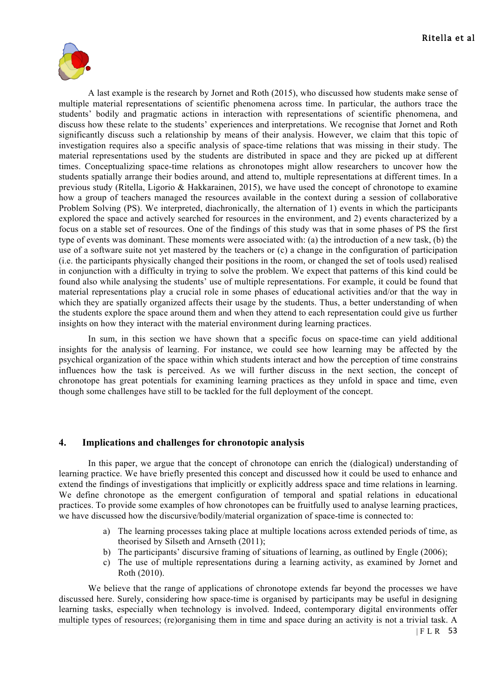

A last example is the research by Jornet and Roth (2015), who discussed how students make sense of multiple material representations of scientific phenomena across time. In particular, the authors trace the students' bodily and pragmatic actions in interaction with representations of scientific phenomena, and discuss how these relate to the students' experiences and interpretations. We recognise that Jornet and Roth significantly discuss such a relationship by means of their analysis. However, we claim that this topic of investigation requires also a specific analysis of space-time relations that was missing in their study. The material representations used by the students are distributed in space and they are picked up at different times. Conceptualizing space-time relations as chronotopes might allow researchers to uncover how the students spatially arrange their bodies around, and attend to, multiple representations at different times. In a previous study (Ritella, Ligorio & Hakkarainen, 2015), we have used the concept of chronotope to examine how a group of teachers managed the resources available in the context during a session of collaborative Problem Solving (PS). We interpreted, diachronically, the alternation of 1) events in which the participants explored the space and actively searched for resources in the environment, and 2) events characterized by a focus on a stable set of resources. One of the findings of this study was that in some phases of PS the first type of events was dominant. These moments were associated with: (a) the introduction of a new task, (b) the use of a software suite not yet mastered by the teachers or (c) a change in the configuration of participation (i.e. the participants physically changed their positions in the room, or changed the set of tools used) realised in conjunction with a difficulty in trying to solve the problem. We expect that patterns of this kind could be found also while analysing the students' use of multiple representations. For example, it could be found that material representations play a crucial role in some phases of educational activities and/or that the way in which they are spatially organized affects their usage by the students. Thus, a better understanding of when the students explore the space around them and when they attend to each representation could give us further insights on how they interact with the material environment during learning practices.

In sum, in this section we have shown that a specific focus on space-time can yield additional insights for the analysis of learning. For instance, we could see how learning may be affected by the psychical organization of the space within which students interact and how the perception of time constrains influences how the task is perceived. As we will further discuss in the next section, the concept of chronotope has great potentials for examining learning practices as they unfold in space and time, even though some challenges have still to be tackled for the full deployment of the concept.

### **4. Implications and challenges for chronotopic analysis**

In this paper, we argue that the concept of chronotope can enrich the (dialogical) understanding of learning practice. We have briefly presented this concept and discussed how it could be used to enhance and extend the findings of investigations that implicitly or explicitly address space and time relations in learning. We define chronotope as the emergent configuration of temporal and spatial relations in educational practices. To provide some examples of how chronotopes can be fruitfully used to analyse learning practices, we have discussed how the discursive/bodily/material organization of space-time is connected to:

- a) The learning processes taking place at multiple locations across extended periods of time, as theorised by Silseth and Arnseth (2011);
- b) The participants' discursive framing of situations of learning, as outlined by Engle (2006);
- c) The use of multiple representations during a learning activity, as examined by Jornet and Roth (2010).

We believe that the range of applications of chronotope extends far beyond the processes we have discussed here. Surely, considering how space-time is organised by participants may be useful in designing learning tasks, especially when technology is involved. Indeed, contemporary digital environments offer multiple types of resources; (re)organising them in time and space during an activity is not a trivial task. A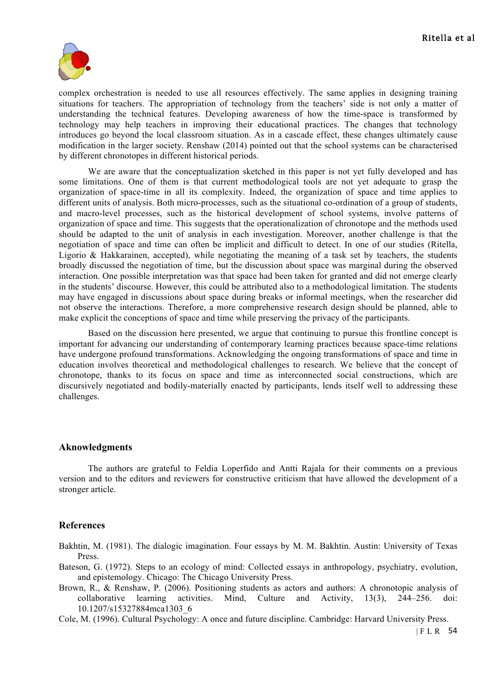

complex orchestration is needed to use all resources effectively. The same applies in designing training situations for teachers. The appropriation of technology from the teachers' side is not only a matter of understanding the technical features. Developing awareness of how the time-space is transformed by technology may help teachers in improving their educational practices. The changes that technology introduces go beyond the local classroom situation. As in a cascade effect, these changes ultimately cause modification in the larger society. Renshaw (2014) pointed out that the school systems can be characterised by different chronotopes in different historical periods.

We are aware that the conceptualization sketched in this paper is not yet fully developed and has some limitations. One of them is that current methodological tools are not yet adequate to grasp the organization of space-time in all its complexity. Indeed, the organization of space and time applies to different units of analysis. Both micro-processes, such as the situational co-ordination of a group of students, and macro-level processes, such as the historical development of school systems, involve patterns of organization of space and time. This suggests that the operationalization of chronotope and the methods used should be adapted to the unit of analysis in each investigation. Moreover, another challenge is that the negotiation of space and time can often be implicit and difficult to detect. In one of our studies (Ritella, Ligorio & Hakkarainen, accepted), while negotiating the meaning of a task set by teachers, the students broadly discussed the negotiation of time, but the discussion about space was marginal during the observed interaction. One possible interpretation was that space had been taken for granted and did not emerge clearly in the students' discourse. However, this could be attributed also to a methodological limitation. The students may have engaged in discussions about space during breaks or informal meetings, when the researcher did not observe the interactions. Therefore, a more comprehensive research design should be planned, able to make explicit the conceptions of space and time while preserving the privacy of the participants.

Based on the discussion here presented, we argue that continuing to pursue this frontline concept is important for advancing our understanding of contemporary learning practices because space-time relations have undergone profound transformations. Acknowledging the ongoing transformations of space and time in education involves theoretical and methodological challenges to research. We believe that the concept of chronotope, thanks to its focus on space and time as interconnected social constructions, which are discursively negotiated and bodily-materially enacted by participants, lends itself well to addressing these challenges.

#### **Aknowledgments**

The authors are grateful to Feldia Loperfido and Antti Rajala for their comments on a previous version and to the editors and reviewers for constructive criticism that have allowed the development of a stronger article.

## **References**

Bakhtin, M. (1981). The dialogic imagination. Four essays by M. M. Bakhtin. Austin: University of Texas Press.

- Bateson, G. (1972). Steps to an ecology of mind: Collected essays in anthropology, psychiatry, evolution, and epistemology. Chicago: The Chicago University Press.
- Brown, R., & Renshaw, P. (2006). Positioning students as actors and authors: A chronotopic analysis of collaborative learning activities. Mind, Culture and Activity, 13(3), 244–256. doi: 10.1207/s15327884mca1303\_6
- Cole, M. (1996). Cultural Psychology: A once and future discipline. Cambridge: Harvard University Press.